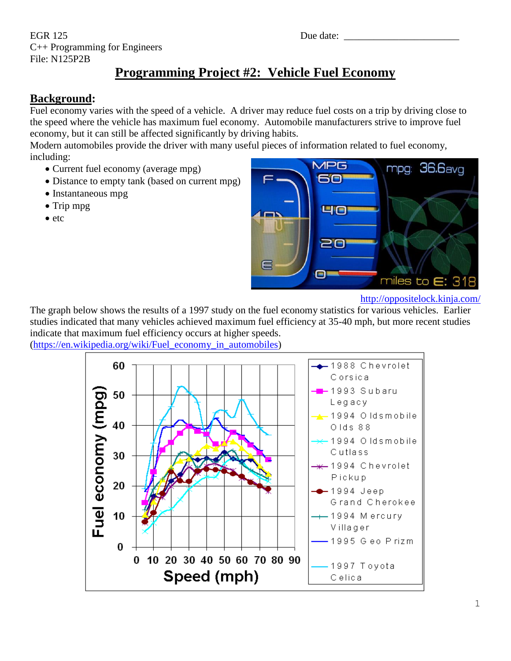EGR 125 Due date: \_\_\_\_\_\_\_\_\_\_\_\_\_\_\_\_\_\_\_\_\_\_\_ C++ Programming for Engineers File: N125P2B

# **Programming Project #2: Vehicle Fuel Economy**

## **Background:**

Fuel economy varies with the speed of a vehicle. A driver may reduce fuel costs on a trip by driving close to the speed where the vehicle has maximum fuel economy. Automobile manufacturers strive to improve fuel economy, but it can still be affected significantly by driving habits.

Modern automobiles provide the driver with many useful pieces of information related to fuel economy, including:

- Current fuel economy (average mpg)
- Distance to empty tank (based on current mpg)
- Instantaneous mpg
- Trip mpg
- $\bullet$  etc



<http://oppositelock.kinja.com/>

The graph below shows the results of a 1997 study on the fuel economy statistics for various vehicles. Earlier studies indicated that many vehicles achieved maximum fuel efficiency at 35-40 mph, but more recent studies indicate that maximum fuel efficiency occurs at higher speeds. [\(https://en.wikipedia.org/wiki/Fuel\\_economy\\_in\\_automobiles\)](https://en.wikipedia.org/wiki/Fuel_economy_in_automobiles)

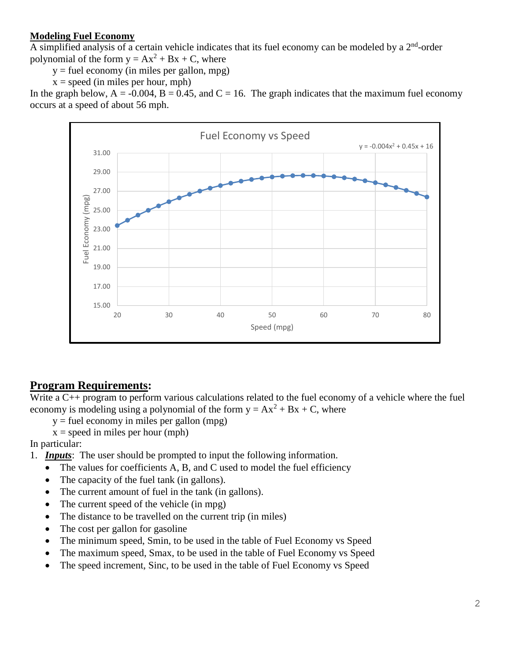#### **Modeling Fuel Economy**

A simplified analysis of a certain vehicle indicates that its fuel economy can be modeled by a  $2<sup>nd</sup>$ -order polynomial of the form  $y = Ax^2 + Bx + C$ , where

 $y =$  fuel economy (in miles per gallon, mpg)

 $x = speed (in miles per hour, mph)$ 

In the graph below,  $A = -0.004$ ,  $B = 0.45$ , and  $C = 16$ . The graph indicates that the maximum fuel economy occurs at a speed of about 56 mph.



### **Program Requirements:**

Write a C++ program to perform various calculations related to the fuel economy of a vehicle where the fuel economy is modeling using a polynomial of the form  $y = Ax^2 + Bx + C$ , where

 $y =$  fuel economy in miles per gallon (mpg)

 $x = speed in miles per hour (mph)$ 

In particular:

1. *Inputs*: The user should be prompted to input the following information.

- The values for coefficients A, B, and C used to model the fuel efficiency
- The capacity of the fuel tank (in gallons).
- The current amount of fuel in the tank (in gallons).
- The current speed of the vehicle (in mpg)
- The distance to be travelled on the current trip (in miles)
- The cost per gallon for gasoline
- The minimum speed, Smin, to be used in the table of Fuel Economy vs Speed
- The maximum speed, Smax, to be used in the table of Fuel Economy vs Speed
- The speed increment, Sinc, to be used in the table of Fuel Economy vs Speed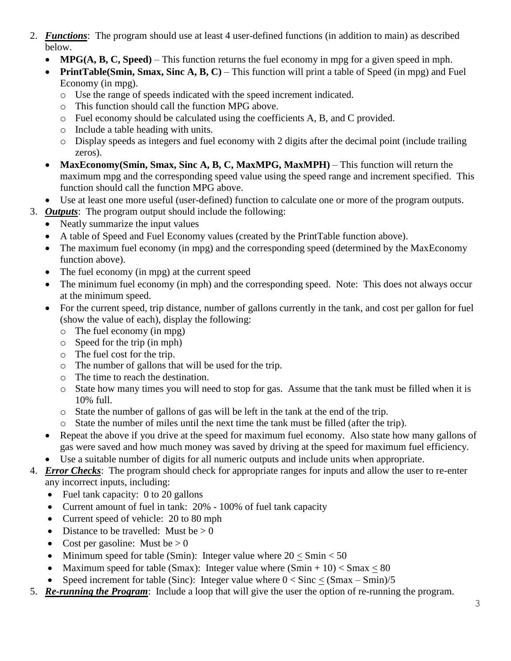- 2. *Functions*: The program should use at least 4 user-defined functions (in addition to main) as described below.
	- **MPG(A, B, C, Speed)** This function returns the fuel economy in mpg for a given speed in mph.
	- **PrintTable(Smin, Smax, Sinc A, B, C)** This function will print a table of Speed (in mpg) and Fuel Economy (in mpg).
		- o Use the range of speeds indicated with the speed increment indicated.
		- o This function should call the function MPG above.
		- o Fuel economy should be calculated using the coefficients A, B, and C provided.
		- o Include a table heading with units.
		- o Display speeds as integers and fuel economy with 2 digits after the decimal point (include trailing zeros).
	- **MaxEconomy(Smin, Smax, Sinc A, B, C, MaxMPG, MaxMPH)** This function will return the maximum mpg and the corresponding speed value using the speed range and increment specified. This function should call the function MPG above.
	- Use at least one more useful (user-defined) function to calculate one or more of the program outputs.
- 3. *Outputs*: The program output should include the following:
	- Neatly summarize the input values
	- A table of Speed and Fuel Economy values (created by the PrintTable function above).
	- The maximum fuel economy (in mpg) and the corresponding speed (determined by the MaxEconomy function above).
	- The fuel economy (in mpg) at the current speed
	- The minimum fuel economy (in mph) and the corresponding speed. Note: This does not always occur at the minimum speed.
	- For the current speed, trip distance, number of gallons currently in the tank, and cost per gallon for fuel (show the value of each), display the following:
		- o The fuel economy (in mpg)
		- o Speed for the trip (in mph)
		- o The fuel cost for the trip.
		- o The number of gallons that will be used for the trip.
		- o The time to reach the destination.
		- o State how many times you will need to stop for gas. Assume that the tank must be filled when it is 10% full.
		- o State the number of gallons of gas will be left in the tank at the end of the trip.
		- o State the number of miles until the next time the tank must be filled (after the trip).
	- Repeat the above if you drive at the speed for maximum fuel economy. Also state how many gallons of gas were saved and how much money was saved by driving at the speed for maximum fuel efficiency.
	- Use a suitable number of digits for all numeric outputs and include units when appropriate.
- 4. *Error Checks*: The program should check for appropriate ranges for inputs and allow the user to re-enter any incorrect inputs, including:
	- Fuel tank capacity: 0 to 20 gallons
	- Current amount of fuel in tank: 20% 100% of fuel tank capacity
	- Current speed of vehicle: 20 to 80 mph
	- Distance to be travelled: Must be  $> 0$
	- Cost per gasoline: Must be  $> 0$
	- Minimum speed for table (Smin): Integer value where  $20 <$  Smin  $< 50$
	- Maximum speed for table (Smax): Integer value where  $(Smin + 10) < Smax < 80$
	- Speed increment for table (Sinc): Integer value where  $0 <$  Sinc  $<$  (Smax Smin)/5
- 5. *Re-running the Program*: Include a loop that will give the user the option of re-running the program.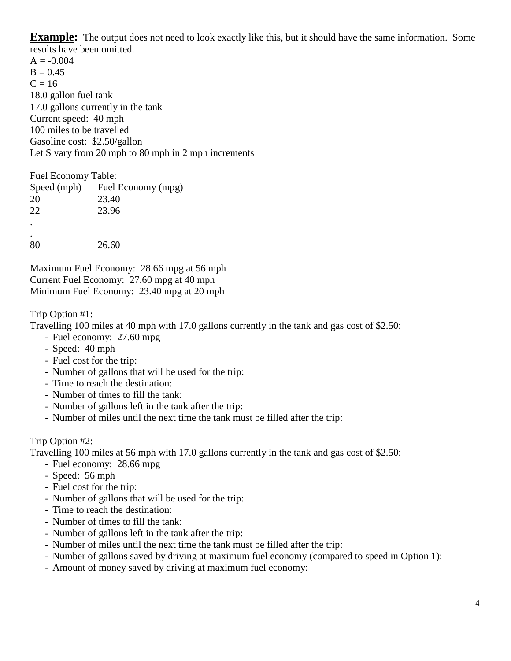**Example:** The output does not need to look exactly like this, but it should have the same information. Some results have been omitted.

 $A = -0.004$  $B = 0.45$  $C = 16$ 18.0 gallon fuel tank 17.0 gallons currently in the tank Current speed: 40 mph 100 miles to be travelled Gasoline cost: \$2.50/gallon Let S vary from 20 mph to 80 mph in 2 mph increments

Fuel Economy Table: Speed (mph) Fuel Economy (mpg) 20 23.40 22 23.96 . . 80 26.60

Maximum Fuel Economy: 28.66 mpg at 56 mph Current Fuel Economy: 27.60 mpg at 40 mph Minimum Fuel Economy: 23.40 mpg at 20 mph

Trip Option #1:

Travelling 100 miles at 40 mph with 17.0 gallons currently in the tank and gas cost of \$2.50:

- Fuel economy: 27.60 mpg
- Speed: 40 mph
- Fuel cost for the trip:
- Number of gallons that will be used for the trip:
- Time to reach the destination:
- Number of times to fill the tank:
- Number of gallons left in the tank after the trip:
- Number of miles until the next time the tank must be filled after the trip:

#### Trip Option #2:

Travelling 100 miles at 56 mph with 17.0 gallons currently in the tank and gas cost of \$2.50:

- Fuel economy: 28.66 mpg
- Speed: 56 mph
- Fuel cost for the trip:
- Number of gallons that will be used for the trip:
- Time to reach the destination:
- Number of times to fill the tank:
- Number of gallons left in the tank after the trip:
- Number of miles until the next time the tank must be filled after the trip:
- Number of gallons saved by driving at maximum fuel economy (compared to speed in Option 1):
- Amount of money saved by driving at maximum fuel economy: